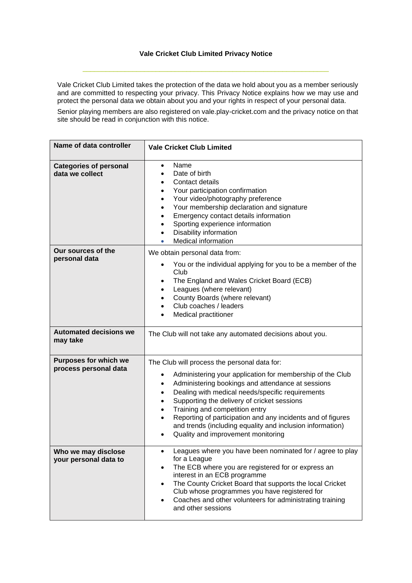## **Vale Cricket Club Limited Privacy Notice**

 $\_$  ,  $\_$  ,  $\_$  ,  $\_$  ,  $\_$  ,  $\_$  ,  $\_$  ,  $\_$  ,  $\_$  ,  $\_$  ,  $\_$  ,  $\_$  ,  $\_$  ,  $\_$  ,  $\_$  ,  $\_$  ,  $\_$  ,  $\_$  ,  $\_$ 

Vale Cricket Club Limited takes the protection of the data we hold about you as a member seriously and are committed to respecting your privacy. This Privacy Notice explains how we may use and protect the personal data we obtain about you and your rights in respect of your personal data.

Senior playing members are also registered on vale.play-cricket.com and the privacy notice on that site should be read in conjunction with this notice.

| Name of data controller                          | <b>Vale Cricket Club Limited</b>                                                                                                                                                                                                                                                                                                                                                                                                                                                                                 |  |  |
|--------------------------------------------------|------------------------------------------------------------------------------------------------------------------------------------------------------------------------------------------------------------------------------------------------------------------------------------------------------------------------------------------------------------------------------------------------------------------------------------------------------------------------------------------------------------------|--|--|
| <b>Categories of personal</b><br>data we collect | Name<br>$\bullet$<br>Date of birth<br>$\bullet$<br>Contact details<br>$\bullet$<br>Your participation confirmation<br>$\bullet$<br>Your video/photography preference<br>$\bullet$<br>Your membership declaration and signature<br>$\bullet$<br>Emergency contact details information<br>$\bullet$<br>Sporting experience information<br>$\bullet$<br>Disability information<br>$\bullet$<br><b>Medical information</b>                                                                                           |  |  |
| Our sources of the<br>personal data              | We obtain personal data from:                                                                                                                                                                                                                                                                                                                                                                                                                                                                                    |  |  |
|                                                  | You or the individual applying for you to be a member of the<br>$\bullet$<br>Club                                                                                                                                                                                                                                                                                                                                                                                                                                |  |  |
|                                                  | The England and Wales Cricket Board (ECB)<br>$\bullet$                                                                                                                                                                                                                                                                                                                                                                                                                                                           |  |  |
|                                                  | Leagues (where relevant)<br>$\bullet$<br>County Boards (where relevant)<br>$\bullet$                                                                                                                                                                                                                                                                                                                                                                                                                             |  |  |
|                                                  | Club coaches / leaders<br>$\bullet$                                                                                                                                                                                                                                                                                                                                                                                                                                                                              |  |  |
|                                                  | <b>Medical practitioner</b>                                                                                                                                                                                                                                                                                                                                                                                                                                                                                      |  |  |
| <b>Automated decisions we</b><br>may take        | The Club will not take any automated decisions about you.                                                                                                                                                                                                                                                                                                                                                                                                                                                        |  |  |
| <b>Purposes for which we</b>                     | The Club will process the personal data for:                                                                                                                                                                                                                                                                                                                                                                                                                                                                     |  |  |
| process personal data                            | Administering your application for membership of the Club<br>$\bullet$<br>Administering bookings and attendance at sessions<br>$\bullet$<br>Dealing with medical needs/specific requirements<br>$\bullet$<br>Supporting the delivery of cricket sessions<br>$\bullet$<br>Training and competition entry<br>$\bullet$<br>Reporting of participation and any incidents and of figures<br>$\bullet$<br>and trends (including equality and inclusion information)<br>Quality and improvement monitoring<br>$\bullet$ |  |  |
| Who we may disclose<br>your personal data to     | Leagues where you have been nominated for / agree to play<br>for a League<br>The ECB where you are registered for or express an<br>$\bullet$<br>interest in an ECB programme<br>The County Cricket Board that supports the local Cricket<br>$\bullet$<br>Club whose programmes you have registered for<br>Coaches and other volunteers for administrating training<br>$\bullet$<br>and other sessions                                                                                                            |  |  |